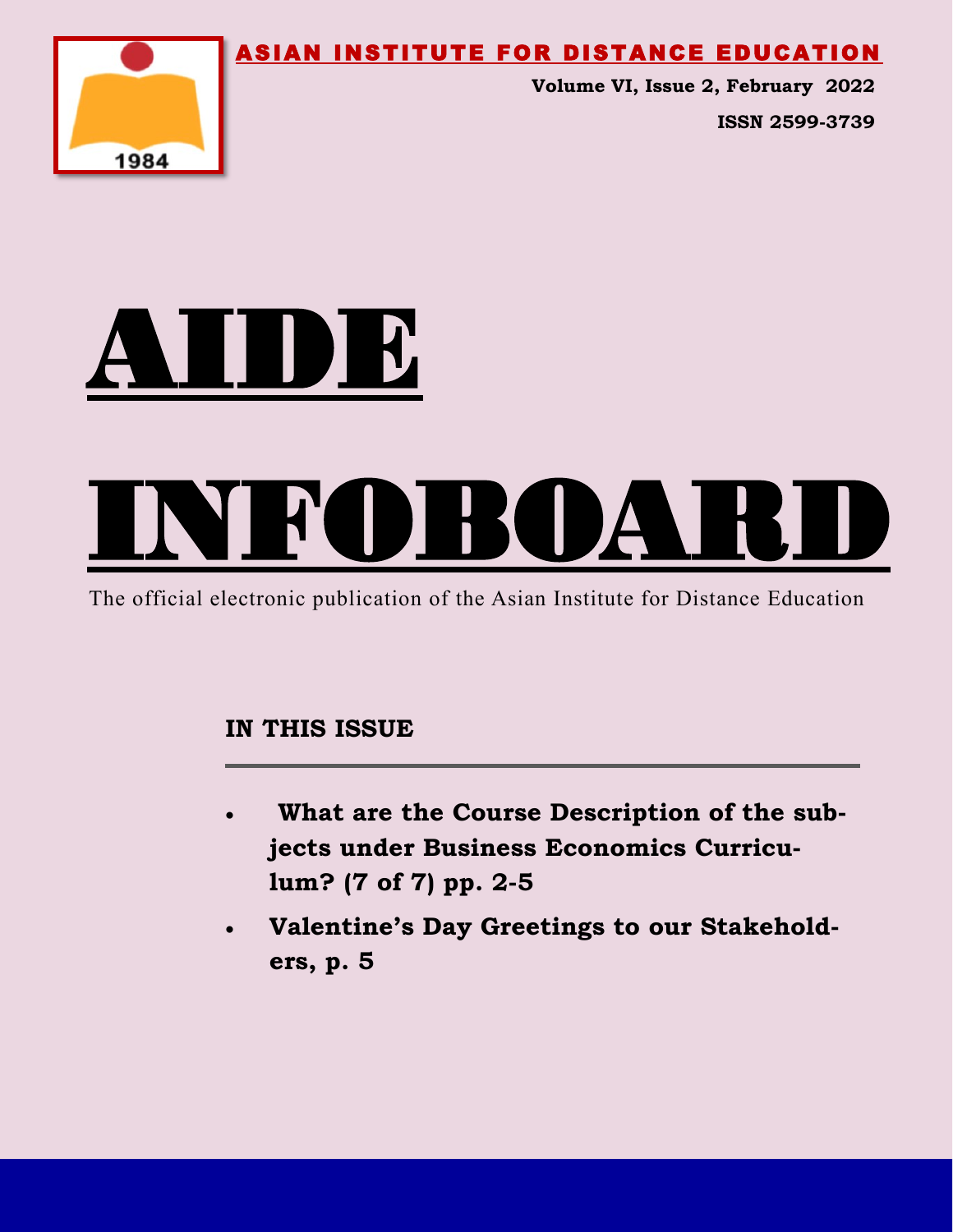ASIAN INSTITUTE FOR DISTANCE EDUCATION



**Volume VI, Issue 2, February 2022 ISSN 2599-3739**





The official electronic publication of the Asian Institute for Distance Education

### **IN THIS ISSUE**

- **What are the Course Description of the subjects under Business Economics Curriculum? (7 of 7) pp. 2-5**
- **Valentine's Day Greetings to our Stakeholders, p. 5**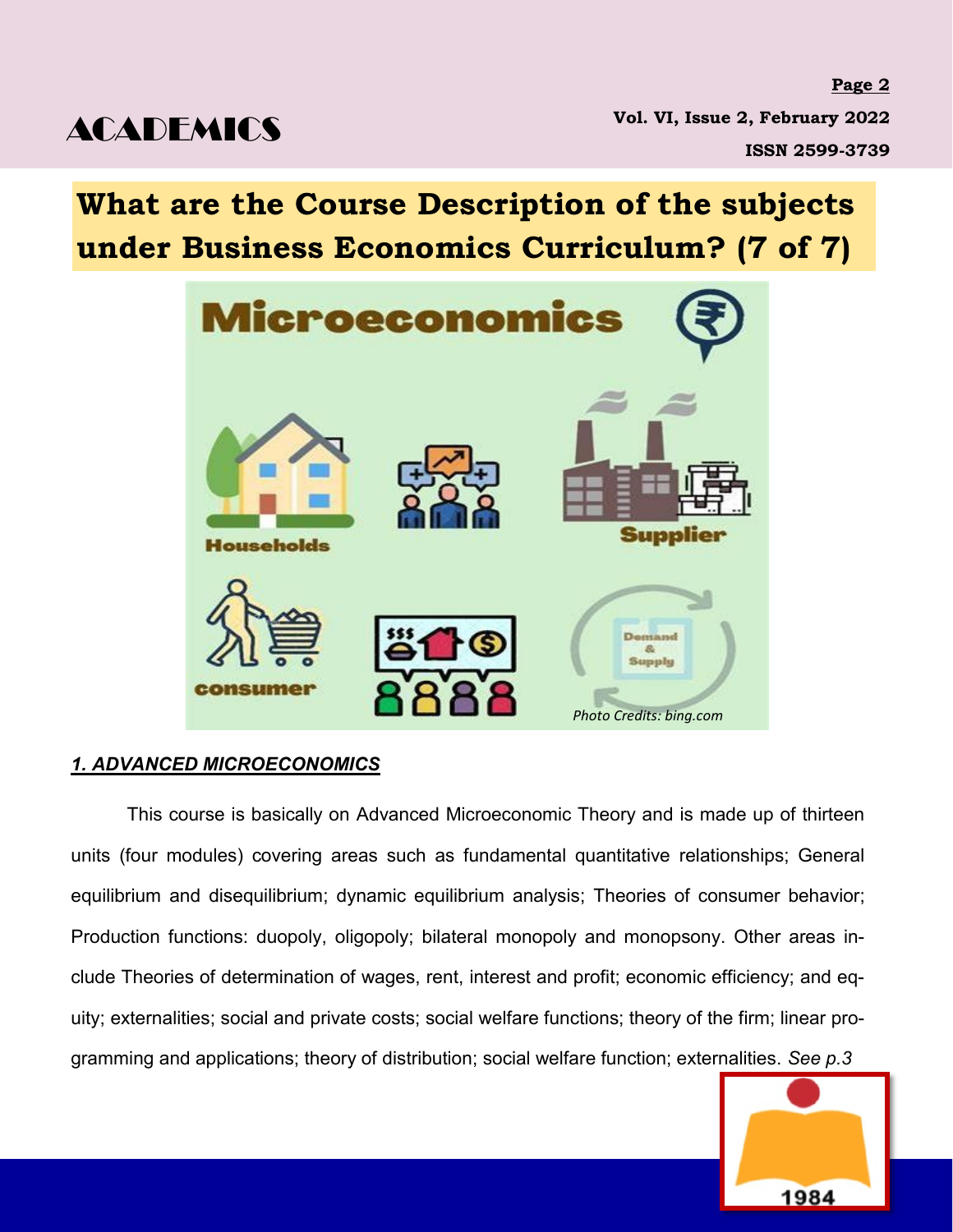**Page 2 Vol. VI, Issue 2, February 2022 ISSN 2599-3739**

## **What are the Course Description of the subjects under Business Economics Curriculum? (7 of 7)**



### *1. ADVANCED MICROECONOMICS*

This course is basically on Advanced Microeconomic Theory and is made up of thirteen units (four modules) covering areas such as fundamental quantitative relationships; General equilibrium and disequilibrium; dynamic equilibrium analysis; Theories of consumer behavior; Production functions: duopoly, oligopoly; bilateral monopoly and monopsony. Other areas include Theories of determination of wages, rent, interest and profit; economic efficiency; and equity; externalities; social and private costs; social welfare functions; theory of the firm; linear programming and applications; theory of distribution; social welfare function; externalities. *See p.3*

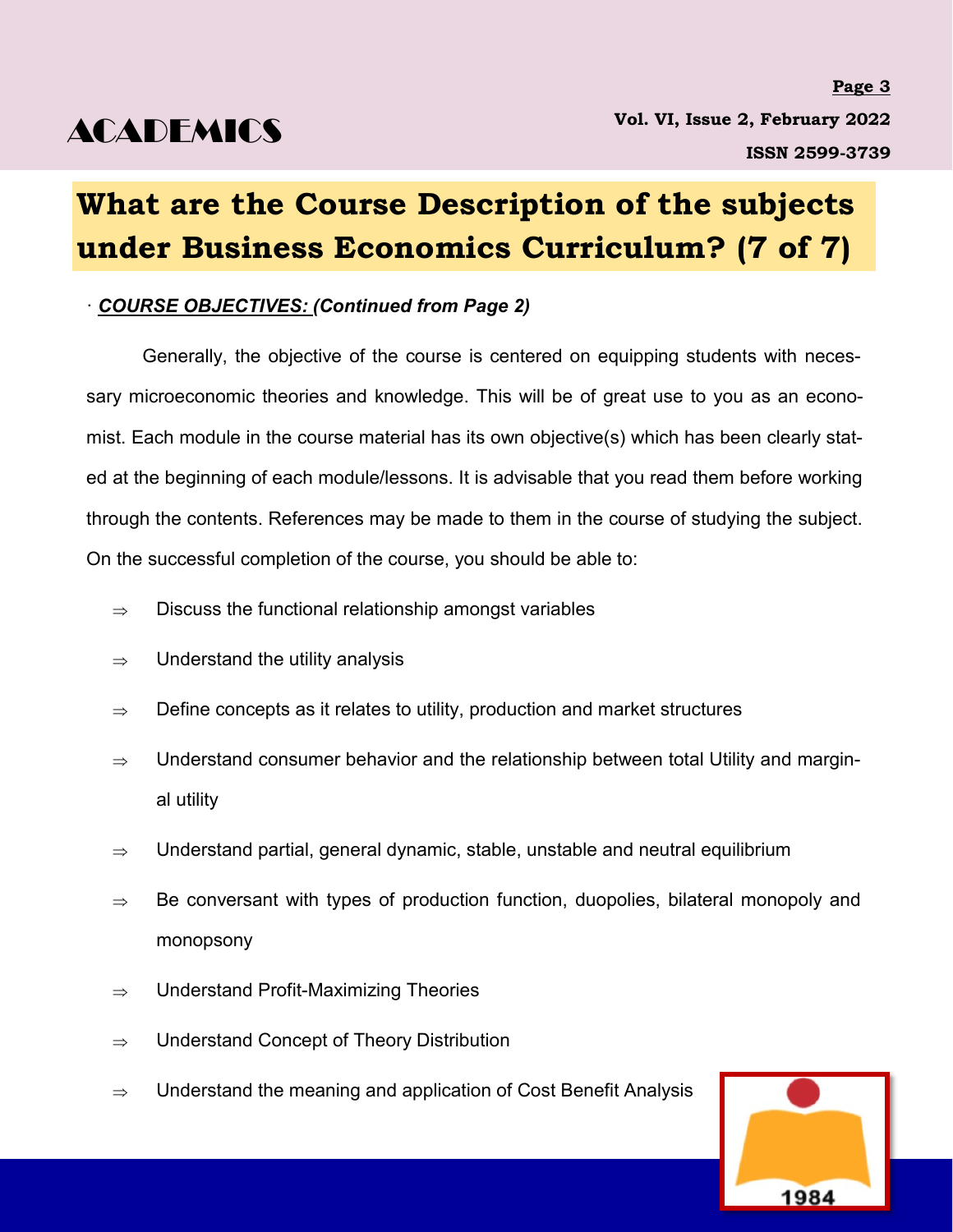# **What are the Course Description of the subjects under Business Economics Curriculum? (7 of 7)**

### · *COURSE OBJECTIVES: (Continued from Page 2)*

Generally, the objective of the course is centered on equipping students with necessary microeconomic theories and knowledge. This will be of great use to you as an economist. Each module in the course material has its own objective(s) which has been clearly stated at the beginning of each module/lessons. It is advisable that you read them before working through the contents. References may be made to them in the course of studying the subject. On the successful completion of the course, you should be able to:

- $\Rightarrow$  Discuss the functional relationship amongst variables
- $\Rightarrow$  Understand the utility analysis
- $\Rightarrow$  Define concepts as it relates to utility, production and market structures
- $\Rightarrow$   $\;\;$  Understand consumer behavior and the relationship between total Utility and marginal utility
- $\Rightarrow$  Understand partial, general dynamic, stable, unstable and neutral equilibrium
- $\Rightarrow$  Be conversant with types of production function, duopolies, bilateral monopoly and monopsony
- $\Rightarrow$  Understand Profit-Maximizing Theories
- $\Rightarrow$  Understand Concept of Theory Distribution
- $\Rightarrow$  Understand the meaning and application of Cost Benefit Analysis

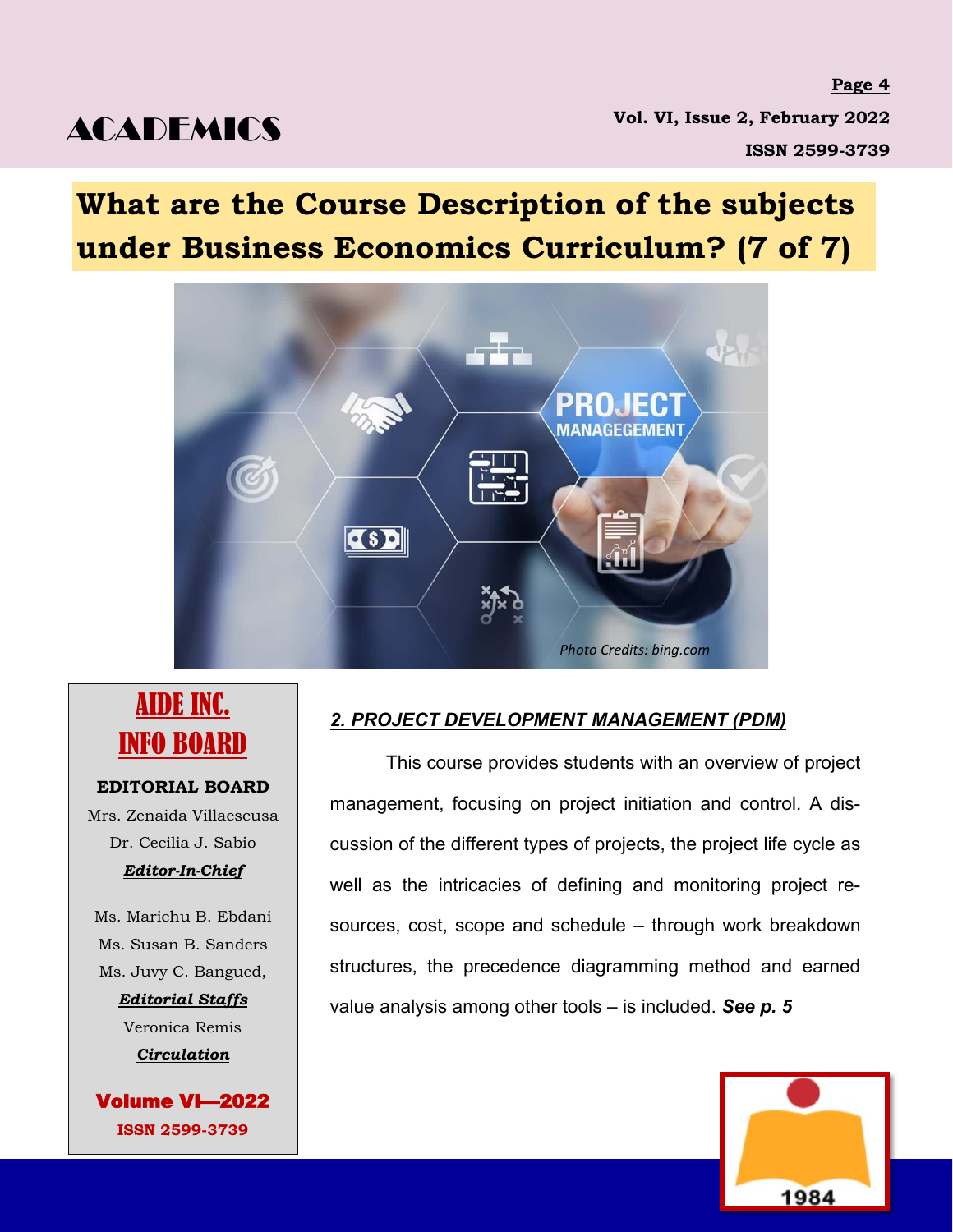**Page 4 Page 4 Vol. VI, Issue 2, February 2022 ISSN 2599-3739 ISSN 2599-3739**

## **What are the Course Description of the subjects under Business Economics Curriculum? (7 of 7)**



### AIDE INC. INFO BOARD

#### **EDITORIAL BOARD**

Mrs. Zenaida Villaescusa Dr. Cecilia J. Sabio *Editor-In-Chief* 

Ms. Marichu B. Ebdani Ms. Susan B. Sanders Ms. Juvy C. Bangued, *Editorial Staffs* Veronica Remis *Circulation* 

Volume VI—2022 **ISSN 2599-3739**

### *2. PROJECT DEVELOPMENT MANAGEMENT (PDM)*

This course provides students with an overview of project management, focusing on project initiation and control. A discussion of the different types of projects, the project life cycle as well as the intricacies of defining and monitoring project resources, cost, scope and schedule – through work breakdown structures, the precedence diagramming method and earned value analysis among other tools – is included. *See p. 5*

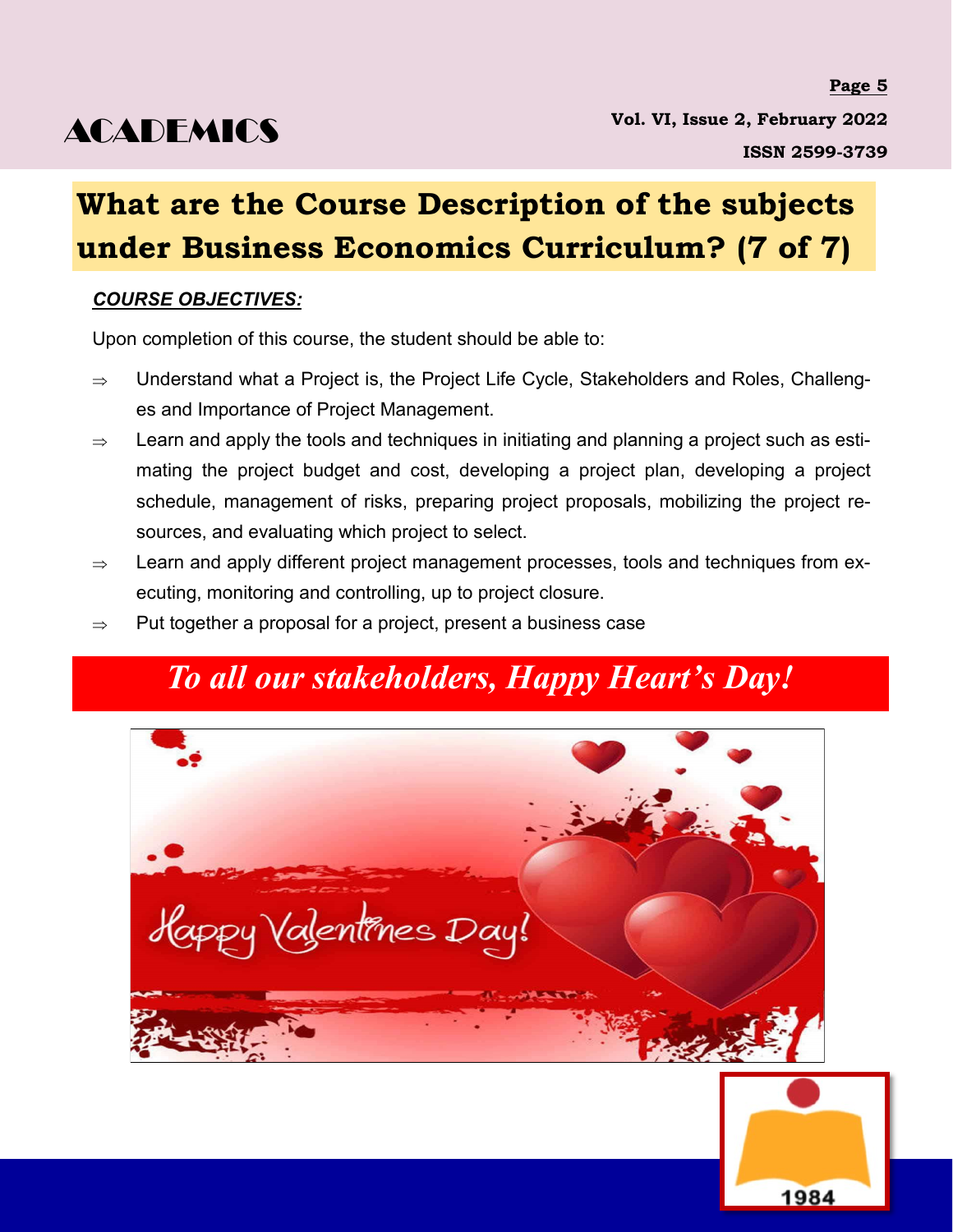### **What are the Course Description of the subjects under Business Economics Curriculum? (7 of 7)**

### *COURSE OBJECTIVES:*

Upon completion of this course, the student should be able to:

- $\Rightarrow$  Understand what a Project is, the Project Life Cycle, Stakeholders and Roles, Challenges and Importance of Project Management.
- $\Rightarrow$  Learn and apply the tools and techniques in initiating and planning a project such as estimating the project budget and cost, developing a project plan, developing a project schedule, management of risks, preparing project proposals, mobilizing the project resources, and evaluating which project to select.
- $\Rightarrow$  Learn and apply different project management processes, tools and techniques from executing, monitoring and controlling, up to project closure.
- $\Rightarrow$  Put together a proposal for a project, present a business case

### *To all our stakeholders, Happy Heart's Day!*